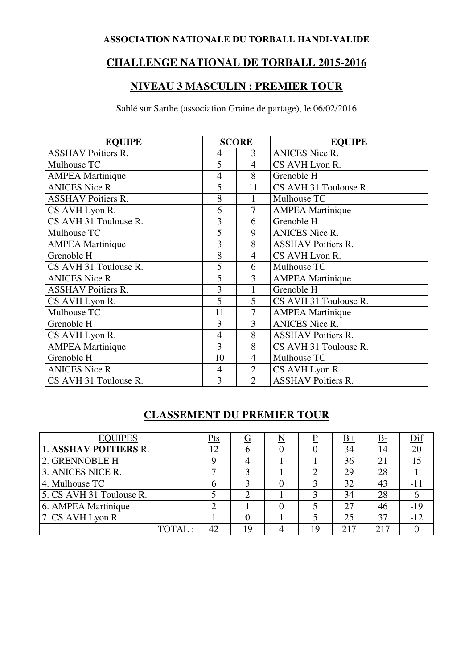#### **ASSOCIATION NATIONALE DU TORBALL HANDI-VALIDE**

### **CHALLENGE NATIONAL DE TORBALL 2015-2016**

# **NIVEAU 3 MASCULIN : PREMIER TOUR**

#### Sablé sur Sarthe (association Graine de partage), le 06/02/2016

| <b>EQUIPE</b>             | <b>SCORE</b> |                | <b>EQUIPE</b>             |  |  |
|---------------------------|--------------|----------------|---------------------------|--|--|
| <b>ASSHAV Poitiers R.</b> | 4            | 3              | <b>ANICES Nice R.</b>     |  |  |
| Mulhouse TC               | 5            | $\overline{4}$ | CS AVH Lyon R.            |  |  |
| <b>AMPEA Martinique</b>   | 4            | 8              | Grenoble H                |  |  |
| <b>ANICES Nice R.</b>     | 5            | 11             | CS AVH 31 Toulouse R.     |  |  |
| <b>ASSHAV Poitiers R.</b> | 8            | $\mathbf{1}$   | Mulhouse TC               |  |  |
| CS AVH Lyon R.            | 6            | 7              | <b>AMPEA Martinique</b>   |  |  |
| CS AVH 31 Toulouse R.     | 3            | 6              | Grenoble H                |  |  |
| Mulhouse TC               | 5            | 9              | <b>ANICES Nice R.</b>     |  |  |
| <b>AMPEA Martinique</b>   | 3            | 8              | <b>ASSHAV Poitiers R.</b> |  |  |
| Grenoble H                | 8            | $\overline{4}$ | CS AVH Lyon R.            |  |  |
| CS AVH 31 Toulouse R.     | 5            | 6              | Mulhouse TC               |  |  |
| <b>ANICES Nice R.</b>     | 5            | 3              | <b>AMPEA Martinique</b>   |  |  |
| <b>ASSHAV Poitiers R.</b> | 3            | $\mathbf{1}$   | Grenoble H                |  |  |
| CS AVH Lyon R.            | 5            | 5              | CS AVH 31 Toulouse R.     |  |  |
| Mulhouse TC               | 11           | 7              | <b>AMPEA Martinique</b>   |  |  |
| Grenoble H                | 3            | 3              | <b>ANICES Nice R.</b>     |  |  |
| CS AVH Lyon R.            | 4            | 8              | <b>ASSHAV Poitiers R.</b> |  |  |
| <b>AMPEA Martinique</b>   | 3            | 8              | CS AVH 31 Toulouse R.     |  |  |
| Grenoble H                | 10           | $\overline{4}$ | Mulhouse TC               |  |  |
| <b>ANICES Nice R.</b>     | 4            | $\overline{2}$ | CS AVH Lyon R.            |  |  |
| CS AVH 31 Toulouse R.     | 3            | $\overline{2}$ | <b>ASSHAV Poitiers R.</b> |  |  |

# **CLASSEMENT DU PREMIER TOUR**

| <b>EQUIPES</b>           | Pts |    |    | $B+$ | <u>B-</u> | <u>Dif</u> |
|--------------------------|-----|----|----|------|-----------|------------|
| 1. ASSHAV POITIERS R.    | 12  |    |    | 34   | 14        | 20         |
| 2. GRENNOBLE H           |     |    |    | 36   | 21        | 15         |
| 3. ANICES NICE R.        |     |    | ◠  | 29   | 28        |            |
| 4. Mulhouse TC           |     |    |    | 32   | 43        | -11        |
| 5. CS AVH 31 Toulouse R. |     |    | 2  | 34   | 28        |            |
| 6. AMPEA Martinique      |     |    |    | 27   | 46        | $-19$      |
| 7. CS AVH Lyon R.        |     |    |    | 25   | 37        | $-12$      |
| TOTAL:                   |     | 19 | 19 | 2.17 | 217       |            |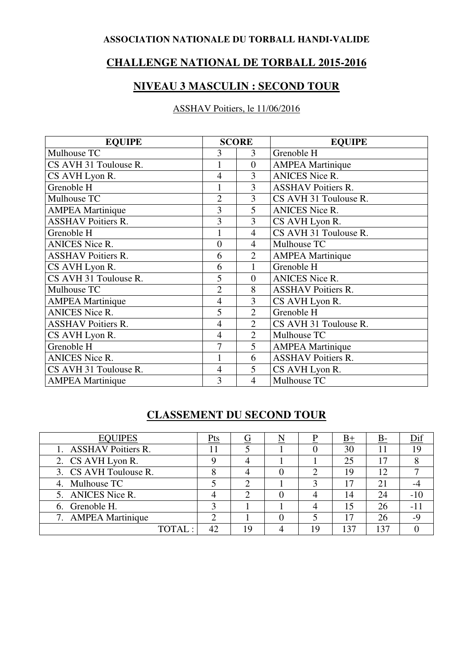#### **ASSOCIATION NATIONALE DU TORBALL HANDI-VALIDE**

### **CHALLENGE NATIONAL DE TORBALL 2015-2016**

#### **NIVEAU 3 MASCULIN : SECOND TOUR**

#### ASSHAV Poitiers, le 11/06/2016

| <b>EQUIPE</b>             | <b>SCORE</b>   |                | <b>EQUIPE</b>             |  |  |
|---------------------------|----------------|----------------|---------------------------|--|--|
| Mulhouse TC               | 3              | 3              | Grenoble H                |  |  |
| CS AVH 31 Toulouse R.     |                | $\theta$       | <b>AMPEA Martinique</b>   |  |  |
| CS AVH Lyon R.            | $\overline{4}$ | 3              | <b>ANICES Nice R.</b>     |  |  |
| Grenoble H                | 1              | 3              | <b>ASSHAV Poitiers R.</b> |  |  |
| Mulhouse TC               | $\overline{2}$ | 3              | CS AVH 31 Toulouse R.     |  |  |
| <b>AMPEA Martinique</b>   | 3              | 5              | <b>ANICES Nice R.</b>     |  |  |
| <b>ASSHAV Poitiers R.</b> | 3              | 3              | CS AVH Lyon R.            |  |  |
| Grenoble H                | $\mathbf{1}$   | $\overline{4}$ | CS AVH 31 Toulouse R.     |  |  |
| <b>ANICES Nice R.</b>     | $\overline{0}$ | $\overline{4}$ | Mulhouse TC               |  |  |
| <b>ASSHAV Poitiers R.</b> | 6              | $\overline{2}$ | <b>AMPEA Martinique</b>   |  |  |
| CS AVH Lyon R.            | 6              | $\mathbf{1}$   | Grenoble H                |  |  |
| CS AVH 31 Toulouse R.     | 5              | $\overline{0}$ | <b>ANICES Nice R.</b>     |  |  |
| Mulhouse TC               | $\overline{2}$ | 8              | <b>ASSHAV Poitiers R.</b> |  |  |
| <b>AMPEA Martinique</b>   | 4              | 3              | CS AVH Lyon R.            |  |  |
| <b>ANICES Nice R.</b>     | 5              | $\overline{2}$ | Grenoble H                |  |  |
| <b>ASSHAV Poitiers R.</b> | $\overline{4}$ | $\overline{2}$ | CS AVH 31 Toulouse R.     |  |  |
| CS AVH Lyon R.            | 4              | $\overline{2}$ | Mulhouse TC               |  |  |
| Grenoble H                | 7              | 5              | <b>AMPEA Martinique</b>   |  |  |
| <b>ANICES Nice R.</b>     |                | 6              | <b>ASSHAV Poitiers R.</b> |  |  |
| CS AVH 31 Toulouse R.     | 4              | 5              | CS AVH Lyon R.            |  |  |
| <b>AMPEA Martinique</b>   | 3              | $\overline{4}$ | Mulhouse TC               |  |  |

# **CLASSEMENT DU SECOND TOUR**

| <b>EQUIPES</b>        | Pts |    |    |     | D-  | Dif   |
|-----------------------|-----|----|----|-----|-----|-------|
| 1. ASSHAV Poitiers R. |     |    |    | 30  |     | 19    |
| 2. CS AVH Lyon R.     |     |    |    | 25  | 17  |       |
| 3. CS AVH Toulouse R. |     |    | ⌒  | 19  | 12  |       |
| 4. Mulhouse TC        |     |    |    | 17  |     |       |
| 5. ANICES Nice R.     |     |    |    | 14  | 24  | $-10$ |
| 6. Grenoble H.        |     |    |    | 15  | 26  | -11   |
| 7. AMPEA Martinique   |     |    |    |     | 26  | $-9$  |
| TOTAL:                |     | 19 | 19 | 137 | 137 |       |